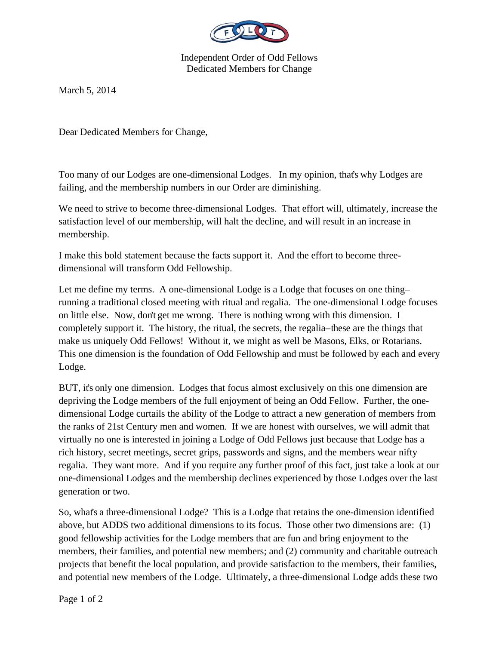

Independent Order of Odd Fellows Dedicated Members for Change

March 5, 2014

Dear Dedicated Members for Change,

Too many of our Lodges are one-dimensional Lodges. In my opinion, that's why Lodges are failing, and the membership numbers in our Order are diminishing.

We need to strive to become three-dimensional Lodges. That effort will, ultimately, increase the satisfaction level of our membership, will halt the decline, and will result in an increase in membership.

I make this bold statement because the facts support it. And the effort to become threedimensional will transform Odd Fellowship.

Let me define my terms. A one-dimensional Lodge is a Lodge that focuses on one thingrunning a traditional closed meeting with ritual and regalia. The one-dimensional Lodge focuses on little else. Now, don't get me wrong. There is nothing wrong with this dimension. I completely support it. The history, the ritual, the secrets, the regalia–these are the things that make us uniquely Odd Fellows! Without it, we might as well be Masons, Elks, or Rotarians. This one dimension is the foundation of Odd Fellowship and must be followed by each and every Lodge.

BUT, it's only one dimension. Lodges that focus almost exclusively on this one dimension are depriving the Lodge members of the full enjoyment of being an Odd Fellow. Further, the onedimensional Lodge curtails the ability of the Lodge to attract a new generation of members from the ranks of 21st Century men and women. If we are honest with ourselves, we will admit that virtually no one is interested in joining a Lodge of Odd Fellows just because that Lodge has a rich history, secret meetings, secret grips, passwords and signs, and the members wear nifty regalia. They want more. And if you require any further proof of this fact, just take a look at our one-dimensional Lodges and the membership declines experienced by those Lodges over the last generation or two.

So, what's a three-dimensional Lodge? This is a Lodge that retains the one-dimension identified above, but ADDS two additional dimensions to its focus. Those other two dimensions are: (1) good fellowship activities for the Lodge members that are fun and bring enjoyment to the members, their families, and potential new members; and (2) community and charitable outreach projects that benefit the local population, and provide satisfaction to the members, their families, and potential new members of the Lodge. Ultimately, a three-dimensional Lodge adds these two